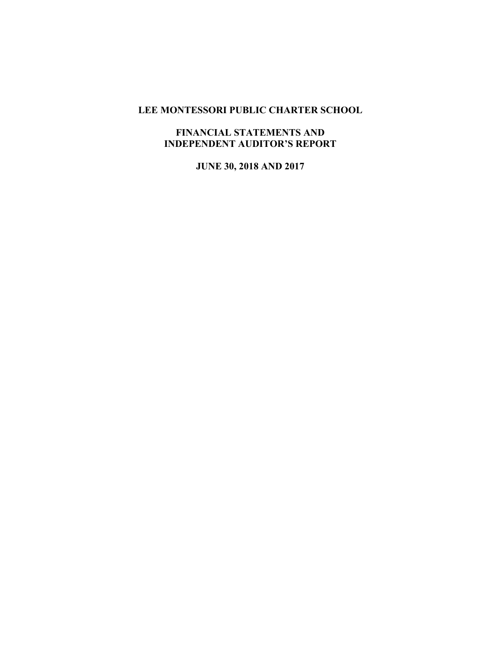# **LEE MONTESSORI PUBLIC CHARTER SCHOOL**

# **FINANCIAL STATEMENTS AND INDEPENDENT AUDITOR'S REPORT**

**JUNE 30, 2018 AND 2017**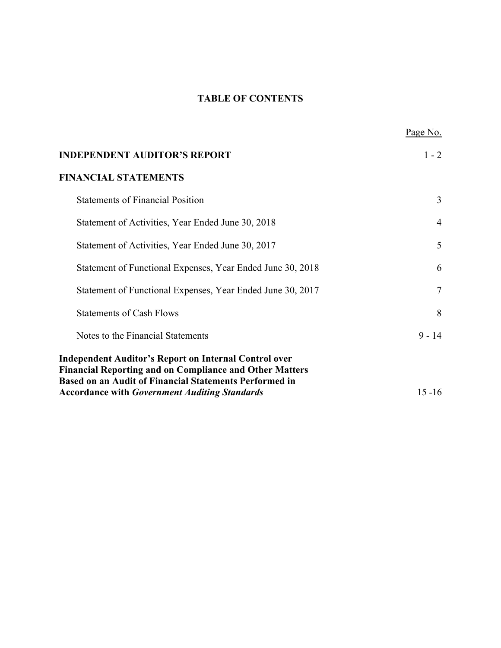# **TABLE OF CONTENTS**

|                                                                                                                                | Page No.       |
|--------------------------------------------------------------------------------------------------------------------------------|----------------|
| <b>INDEPENDENT AUDITOR'S REPORT</b>                                                                                            | $1 - 2$        |
| <b>FINANCIAL STATEMENTS</b>                                                                                                    |                |
| <b>Statements of Financial Position</b>                                                                                        | 3              |
| Statement of Activities, Year Ended June 30, 2018                                                                              | $\overline{4}$ |
| Statement of Activities, Year Ended June 30, 2017                                                                              | 5              |
| Statement of Functional Expenses, Year Ended June 30, 2018                                                                     | 6              |
| Statement of Functional Expenses, Year Ended June 30, 2017                                                                     | 7              |
| <b>Statements of Cash Flows</b>                                                                                                | 8              |
| Notes to the Financial Statements                                                                                              | $9 - 14$       |
| <b>Independent Auditor's Report on Internal Control over</b><br><b>Financial Reporting and on Compliance and Other Matters</b> |                |
| <b>Based on an Audit of Financial Statements Performed in</b><br><b>Accordance with Government Auditing Standards</b>          | $15 - 16$      |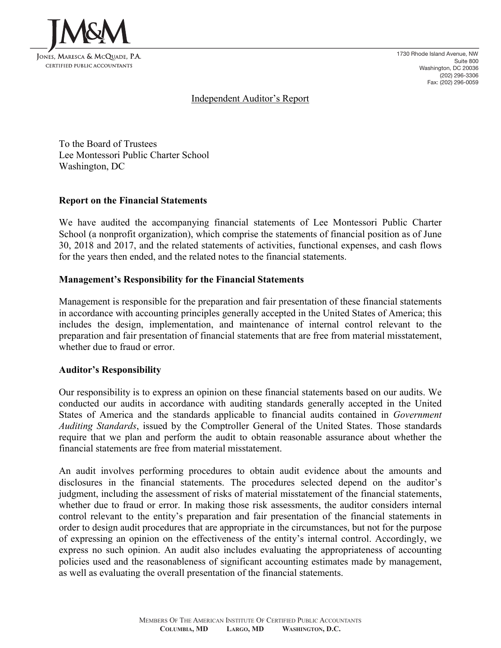

1730 Rhode Island Avenue, NW Suite 800 Washington, DC 20036 (202) 296-3306 Fax: (202) 296-0059

# Independent Auditor's Report

To the Board of Trustees Lee Montessori Public Charter School Washington, DC

#### **Report on the Financial Statements**

We have audited the accompanying financial statements of Lee Montessori Public Charter School (a nonprofit organization), which comprise the statements of financial position as of June 30, 2018 and 2017, and the related statements of activities, functional expenses, and cash flows for the years then ended, and the related notes to the financial statements.

#### **Management's Responsibility for the Financial Statements**

Management is responsible for the preparation and fair presentation of these financial statements in accordance with accounting principles generally accepted in the United States of America; this includes the design, implementation, and maintenance of internal control relevant to the preparation and fair presentation of financial statements that are free from material misstatement, whether due to fraud or error.

#### **Auditor's Responsibility**

Our responsibility is to express an opinion on these financial statements based on our audits. We conducted our audits in accordance with auditing standards generally accepted in the United States of America and the standards applicable to financial audits contained in *Government Auditing Standards*, issued by the Comptroller General of the United States. Those standards require that we plan and perform the audit to obtain reasonable assurance about whether the financial statements are free from material misstatement.

An audit involves performing procedures to obtain audit evidence about the amounts and disclosures in the financial statements. The procedures selected depend on the auditor's judgment, including the assessment of risks of material misstatement of the financial statements, whether due to fraud or error. In making those risk assessments, the auditor considers internal control relevant to the entity's preparation and fair presentation of the financial statements in order to design audit procedures that are appropriate in the circumstances, but not for the purpose of expressing an opinion on the effectiveness of the entity's internal control. Accordingly, we express no such opinion. An audit also includes evaluating the appropriateness of accounting policies used and the reasonableness of significant accounting estimates made by management, as well as evaluating the overall presentation of the financial statements.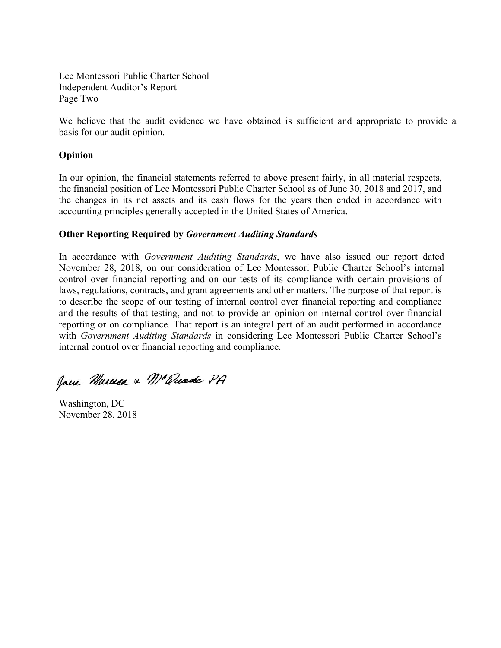Lee Montessori Public Charter School Independent Auditor's Report Page Two

We believe that the audit evidence we have obtained is sufficient and appropriate to provide a basis for our audit opinion.

# **Opinion**

In our opinion, the financial statements referred to above present fairly, in all material respects, the financial position of Lee Montessori Public Charter School as of June 30, 2018 and 2017, and the changes in its net assets and its cash flows for the years then ended in accordance with accounting principles generally accepted in the United States of America.

# **Other Reporting Required by** *Government Auditing Standards*

In accordance with *Government Auditing Standards*, we have also issued our report dated November 28, 2018, on our consideration of Lee Montessori Public Charter School's internal control over financial reporting and on our tests of its compliance with certain provisions of laws, regulations, contracts, and grant agreements and other matters. The purpose of that report is to describe the scope of our testing of internal control over financial reporting and compliance and the results of that testing, and not to provide an opinion on internal control over financial reporting or on compliance. That report is an integral part of an audit performed in accordance with *Government Auditing Standards* in considering Lee Montessori Public Charter School's internal control over financial reporting and compliance.

Jam Marma & Ma Quade PA

Washington, DC November 28, 2018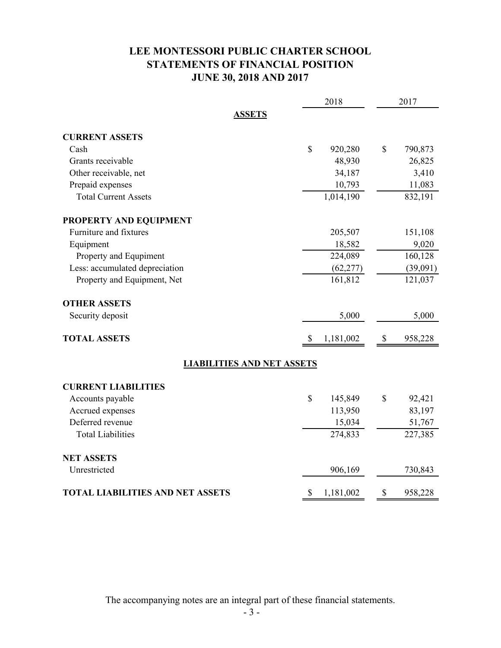# **LEE MONTESSORI PUBLIC CHARTER SCHOOL STATEMENTS OF FINANCIAL POSITION JUNE 30, 2018 AND 2017**

|                                         |               | 2018      |                           | 2017     |  |
|-----------------------------------------|---------------|-----------|---------------------------|----------|--|
| <b>ASSETS</b>                           |               |           |                           |          |  |
| <b>CURRENT ASSETS</b>                   |               |           |                           |          |  |
| Cash                                    | $\mathsf{\$}$ | 920,280   | \$                        | 790,873  |  |
| Grants receivable                       |               | 48,930    |                           | 26,825   |  |
| Other receivable, net                   |               | 34,187    |                           | 3,410    |  |
| Prepaid expenses                        |               | 10,793    |                           | 11,083   |  |
| <b>Total Current Assets</b>             |               | 1,014,190 |                           | 832,191  |  |
| PROPERTY AND EQUIPMENT                  |               |           |                           |          |  |
| Furniture and fixtures                  |               | 205,507   |                           | 151,108  |  |
| Equipment                               |               | 18,582    |                           | 9,020    |  |
| Property and Equpiment                  |               | 224,089   |                           | 160,128  |  |
| Less: accumulated depreciation          |               | (62, 277) |                           | (39,091) |  |
| Property and Equipment, Net             |               | 161,812   |                           | 121,037  |  |
| <b>OTHER ASSETS</b>                     |               |           |                           |          |  |
| Security deposit                        |               | 5,000     |                           | 5,000    |  |
| <b>TOTAL ASSETS</b>                     | \$            | 1,181,002 | $\boldsymbol{\mathsf{S}}$ | 958,228  |  |
| <b>LIABILITIES AND NET ASSETS</b>       |               |           |                           |          |  |
| <b>CURRENT LIABILITIES</b>              |               |           |                           |          |  |
| Accounts payable                        | $\mathbf S$   | 145,849   | \$                        | 92,421   |  |
| Accrued expenses                        |               | 113,950   |                           | 83,197   |  |
| Deferred revenue                        |               | 15,034    |                           | 51,767   |  |
| <b>Total Liabilities</b>                |               | 274,833   |                           | 227,385  |  |
| <b>NET ASSETS</b>                       |               |           |                           |          |  |
| Unrestricted                            |               | 906,169   |                           | 730,843  |  |
| <b>TOTAL LIABILITIES AND NET ASSETS</b> | \$            | 1,181,002 | \$                        | 958,228  |  |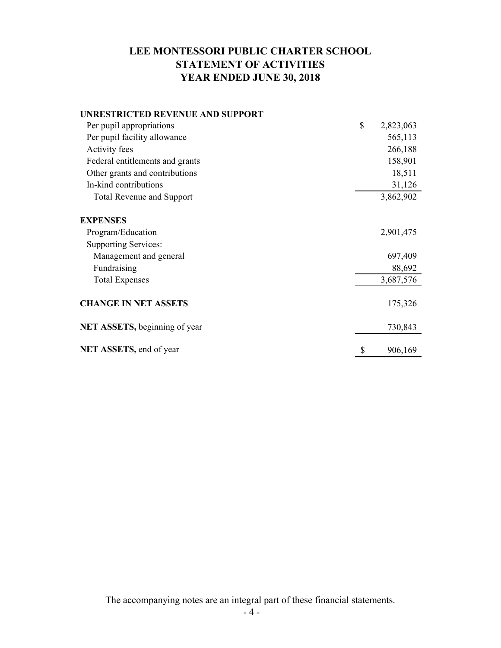# **LEE MONTESSORI PUBLIC CHARTER SCHOOL STATEMENT OF ACTIVITIES YEAR ENDED JUNE 30, 2018**

| <b>UNRESTRICTED REVENUE AND SUPPORT</b> |                 |
|-----------------------------------------|-----------------|
| Per pupil appropriations                | \$<br>2,823,063 |
| Per pupil facility allowance            | 565,113         |
| Activity fees                           | 266,188         |
| Federal entitlements and grants         | 158,901         |
| Other grants and contributions          | 18,511          |
| In-kind contributions                   | 31,126          |
| <b>Total Revenue and Support</b>        | 3,862,902       |
| <b>EXPENSES</b>                         |                 |
| Program/Education                       | 2,901,475       |
| <b>Supporting Services:</b>             |                 |
| Management and general                  | 697,409         |
| Fundraising                             | 88,692          |
| <b>Total Expenses</b>                   | 3,687,576       |
| <b>CHANGE IN NET ASSETS</b>             | 175,326         |
| NET ASSETS, beginning of year           | 730,843         |
| NET ASSETS, end of year                 | 906,169         |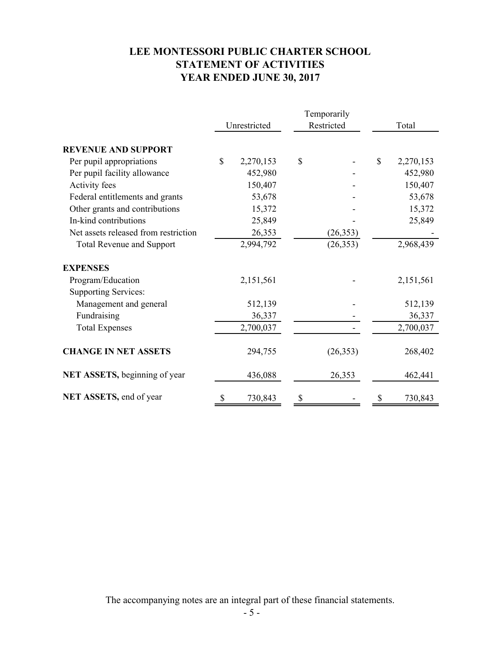# **LEE MONTESSORI PUBLIC CHARTER SCHOOL STATEMENT OF ACTIVITIES YEAR ENDED JUNE 30, 2017**

|                                      | Temporarily |              |              |            |    |           |  |
|--------------------------------------|-------------|--------------|--------------|------------|----|-----------|--|
|                                      |             | Unrestricted |              | Restricted |    | Total     |  |
| <b>REVENUE AND SUPPORT</b>           |             |              |              |            |    |           |  |
| Per pupil appropriations             | $\mathbf S$ | 2,270,153    | $\mathbb{S}$ |            | \$ | 2,270,153 |  |
| Per pupil facility allowance         |             | 452,980      |              |            |    | 452,980   |  |
| Activity fees                        |             | 150,407      |              |            |    | 150,407   |  |
| Federal entitlements and grants      |             | 53,678       |              |            |    | 53,678    |  |
| Other grants and contributions       |             | 15,372       |              |            |    | 15,372    |  |
| In-kind contributions                |             | 25,849       |              |            |    | 25,849    |  |
| Net assets released from restriction |             | 26,353       |              | (26, 353)  |    |           |  |
| <b>Total Revenue and Support</b>     |             | 2,994,792    |              | (26, 353)  |    | 2,968,439 |  |
| <b>EXPENSES</b>                      |             |              |              |            |    |           |  |
| Program/Education                    |             | 2,151,561    |              |            |    | 2,151,561 |  |
| <b>Supporting Services:</b>          |             |              |              |            |    |           |  |
| Management and general               |             | 512,139      |              |            |    | 512,139   |  |
| Fundraising                          |             | 36,337       |              |            |    | 36,337    |  |
| <b>Total Expenses</b>                |             | 2,700,037    |              |            |    | 2,700,037 |  |
| <b>CHANGE IN NET ASSETS</b>          |             | 294,755      |              | (26, 353)  |    | 268,402   |  |
| NET ASSETS, beginning of year        |             | 436,088      |              | 26,353     |    | 462,441   |  |
| NET ASSETS, end of year              | \$          | 730,843      | \$           |            | \$ | 730,843   |  |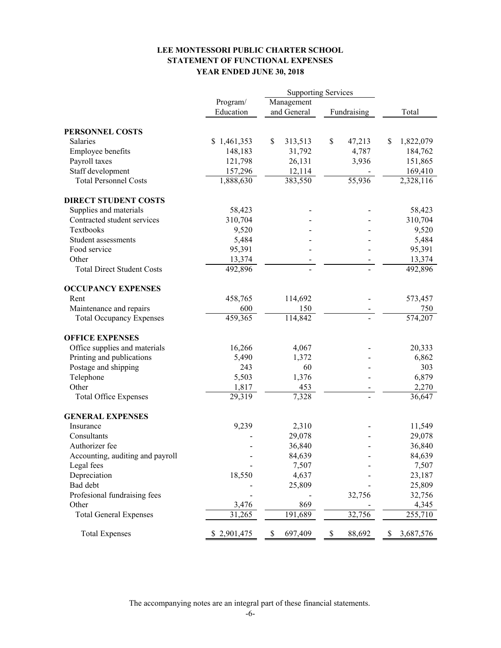#### **LEE MONTESSORI PUBLIC CHARTER SCHOOL STATEMENT OF FUNCTIONAL EXPENSES YEAR ENDED JUNE 30, 2018**

|                                   |                     | <b>Supporting Services</b> |                |                 |
|-----------------------------------|---------------------|----------------------------|----------------|-----------------|
|                                   | Program/            | Management                 |                |                 |
|                                   | Education           | and General                | Fundraising    | Total           |
| PERSONNEL COSTS                   |                     |                            |                |                 |
| Salaries                          | \$1,461,353         | \$<br>313,513              | \$<br>47,213   | \$<br>1,822,079 |
| Employee benefits                 | 148,183             | 31,792                     | 4,787          | 184,762         |
| Payroll taxes                     | 121,798             | 26,131                     | 3,936          | 151,865         |
| Staff development                 | 157,296             | 12,114                     |                | 169,410         |
| <b>Total Personnel Costs</b>      | 1,888,630           | 383,550                    | 55,936         | 2,328,116       |
| <b>DIRECT STUDENT COSTS</b>       |                     |                            |                |                 |
| Supplies and materials            | 58,423              |                            |                | 58,423          |
| Contracted student services       | 310,704             |                            |                | 310,704         |
| Textbooks                         | 9,520               |                            |                | 9,520           |
| Student assessments               | 5,484               |                            |                | 5,484           |
| Food service                      | 95,391              |                            |                | 95,391          |
| Other                             | 13,374              |                            |                | 13,374          |
| <b>Total Direct Student Costs</b> | 492,896             |                            |                | 492,896         |
| <b>OCCUPANCY EXPENSES</b>         |                     |                            |                |                 |
| Rent                              | 458,765             | 114,692                    |                | 573,457         |
| Maintenance and repairs           | 600                 | 150                        |                | 750             |
| <b>Total Occupancy Expenses</b>   | 459,365             | 114,842                    |                | 574,207         |
| <b>OFFICE EXPENSES</b>            |                     |                            |                |                 |
| Office supplies and materials     | 16,266              | 4,067                      |                | 20,333          |
| Printing and publications         | 5,490               | 1,372                      |                | 6,862           |
| Postage and shipping              | 243                 | 60                         |                | 303             |
| Telephone                         | 5,503               | 1,376                      |                | 6,879           |
| Other                             | 1,817               | 453                        |                | 2,270           |
| <b>Total Office Expenses</b>      | $\overline{29,319}$ | 7,328                      |                | 36,647          |
| <b>GENERAL EXPENSES</b>           |                     |                            |                |                 |
| Insurance                         | 9,239               | 2,310                      |                | 11,549          |
| Consultants                       |                     | 29,078                     |                | 29,078          |
| Authorizer fee                    |                     | 36,840                     |                | 36,840          |
| Accounting, auditing and payroll  |                     | 84,639                     |                | 84,639          |
| Legal fees                        |                     | 7,507                      |                | 7,507           |
| Depreciation                      | 18,550              | 4,637                      |                | 23,187          |
| Bad debt                          |                     | 25,809                     |                | 25,809          |
| Profesional fundraising fees      |                     |                            | 32,756         | 32,756          |
| Other                             | 3,476               | 869                        |                | 4,345           |
| <b>Total General Expenses</b>     | 31,265              | 191,689                    | 32,756         | 255,710         |
| <b>Total Expenses</b>             | \$2,901,475         | \$<br>697,409              | $\$$<br>88,692 | 3,687,576<br>\$ |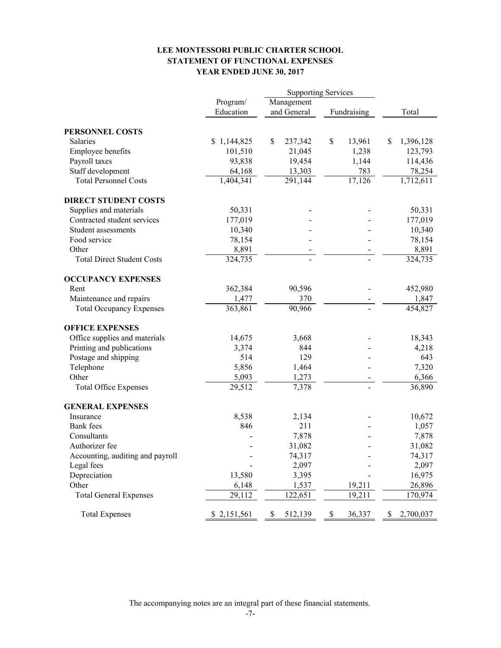#### **LEE MONTESSORI PUBLIC CHARTER SCHOOL STATEMENT OF FUNCTIONAL EXPENSES YEAR ENDED JUNE 30, 2017**

|                                   |             |               | <b>Supporting Services</b> |                           |
|-----------------------------------|-------------|---------------|----------------------------|---------------------------|
|                                   | Program/    | Management    |                            |                           |
|                                   | Education   | and General   | Fundraising                | Total                     |
| <b>PERSONNEL COSTS</b>            |             |               |                            |                           |
| Salaries                          | \$1,144,825 | \$<br>237,342 | \$<br>13,961               | \$<br>1,396,128           |
| Employee benefits                 | 101,510     | 21,045        | 1,238                      | 123,793                   |
| Payroll taxes                     | 93,838      | 19,454        | 1,144                      | 114,436                   |
| Staff development                 | 64,168      | 13,303        | 783                        | 78,254                    |
| <b>Total Personnel Costs</b>      | 1,404,341   | 291,144       | 17,126                     | 1,712,611                 |
| <b>DIRECT STUDENT COSTS</b>       |             |               |                            |                           |
| Supplies and materials            | 50,331      |               |                            | 50,331                    |
| Contracted student services       | 177,019     |               |                            | 177,019                   |
| Student assessments               | 10,340      |               |                            | 10,340                    |
| Food service                      | 78,154      |               |                            | 78,154                    |
| Other                             | 8,891       |               |                            | 8,891                     |
| <b>Total Direct Student Costs</b> | 324,735     |               |                            | 324,735                   |
| <b>OCCUPANCY EXPENSES</b>         |             |               |                            |                           |
| Rent                              | 362,384     | 90,596        |                            | 452,980                   |
| Maintenance and repairs           | 1,477       | 370           |                            | 1,847                     |
| <b>Total Occupancy Expenses</b>   | 363,861     | 90,966        |                            | 454,827                   |
| <b>OFFICE EXPENSES</b>            |             |               |                            |                           |
| Office supplies and materials     | 14,675      | 3,668         |                            | 18,343                    |
| Printing and publications         | 3,374       | 844           |                            | 4,218                     |
| Postage and shipping              | 514         | 129           |                            | 643                       |
| Telephone                         | 5,856       | 1,464         |                            | 7,320                     |
| Other                             | 5,093       | 1,273         |                            | 6,366                     |
| <b>Total Office Expenses</b>      | 29,512      | 7,378         |                            | 36,890                    |
| <b>GENERAL EXPENSES</b>           |             |               |                            |                           |
| Insurance                         | 8,538       | 2,134         |                            | 10,672                    |
| <b>Bank</b> fees                  | 846         | 211           |                            | 1,057                     |
| Consultants                       |             | 7,878         |                            | 7,878                     |
| Authorizer fee                    |             | 31,082        |                            | 31,082                    |
| Accounting, auditing and payroll  |             | 74,317        |                            | 74,317                    |
| Legal fees                        |             | 2,097         |                            | 2,097                     |
| Depreciation                      | 13,580      | 3,395         |                            | 16,975                    |
| Other                             | 6,148       | 1,537         | 19,211                     | 26,896                    |
| <b>Total General Expenses</b>     | 29,112      | 122,651       | 19,211                     | 170,974                   |
| <b>Total Expenses</b>             | \$2,151,561 | \$<br>512,139 | \$<br>36,337               | 2,700,037<br>$\mathbb{S}$ |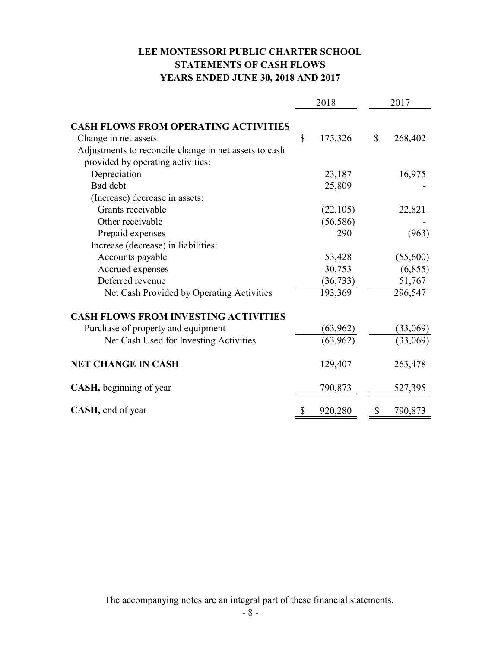# **LEE MONTESSORI PUBLIC CHARTER SCHOOL STATEMENTS OF CASH FLOWS YEARS ENDED JUNE 30, 2018 AND 2017**

|                                                       | 2018          | 2017 |          |
|-------------------------------------------------------|---------------|------|----------|
| <b>CASH FLOWS FROM OPERATING ACTIVITIES</b>           |               |      |          |
| Change in net assets                                  | \$<br>175,326 | \$   | 268,402  |
| Adjustments to reconcile change in net assets to cash |               |      |          |
| provided by operating activities:                     |               |      |          |
| Depreciation                                          | 23,187        |      | 16,975   |
| Bad debt                                              | 25,809        |      |          |
| (Increase) decrease in assets:                        |               |      |          |
| Grants receivable                                     | (22,105)      |      | 22,821   |
| Other receivable                                      | (56, 586)     |      |          |
| Prepaid expenses                                      | 290           |      | (963)    |
| Increase (decrease) in liabilities:                   |               |      |          |
| Accounts payable                                      | 53,428        |      | (55,600) |
| Accrued expenses                                      | 30,753        |      | (6,855)  |
| Deferred revenue                                      | (36, 733)     |      | 51,767   |
| Net Cash Provided by Operating Activities             | 193,369       |      | 296,547  |
| <b>CASH FLOWS FROM INVESTING ACTIVITIES</b>           |               |      |          |
| Purchase of property and equipment                    | (63, 962)     |      | (33,069) |
| Net Cash Used for Investing Activities                | (63,962)      |      | (33,069) |
| <b>NET CHANGE IN CASH</b>                             | 129,407       |      | 263,478  |
| CASH, beginning of year                               | 790,873       |      | 527,395  |
| CASH, end of year                                     | \$<br>920,280 | \$   | 790,873  |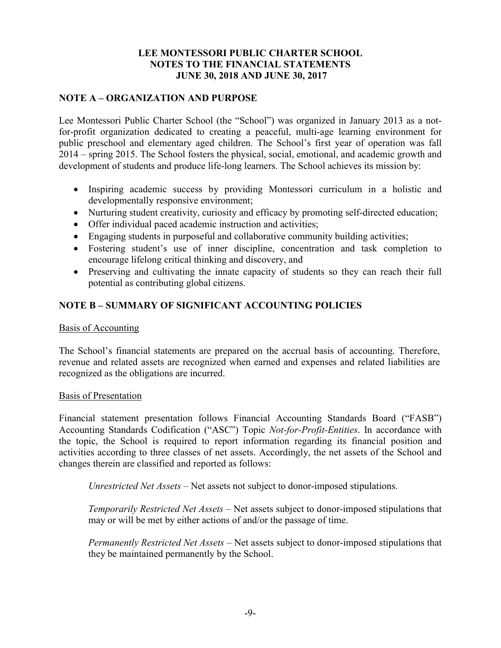### **NOTE A – ORGANIZATION AND PURPOSE**

Lee Montessori Public Charter School (the "School") was organized in January 2013 as a notfor-profit organization dedicated to creating a peaceful, multi-age learning environment for public preschool and elementary aged children. The School's first year of operation was fall 2014 – spring 2015. The School fosters the physical, social, emotional, and academic growth and development of students and produce life-long learners. The School achieves its mission by:

- Inspiring academic success by providing Montessori curriculum in a holistic and developmentally responsive environment;
- Nurturing student creativity, curiosity and efficacy by promoting self-directed education;
- Offer individual paced academic instruction and activities;
- Engaging students in purposeful and collaborative community building activities;
- Fostering student's use of inner discipline, concentration and task completion to encourage lifelong critical thinking and discovery, and
- Preserving and cultivating the innate capacity of students so they can reach their full potential as contributing global citizens.

# **NOTE B – SUMMARY OF SIGNIFICANT ACCOUNTING POLICIES**

#### Basis of Accounting

The School's financial statements are prepared on the accrual basis of accounting. Therefore, revenue and related assets are recognized when earned and expenses and related liabilities are recognized as the obligations are incurred.

#### Basis of Presentation

Financial statement presentation follows Financial Accounting Standards Board ("FASB") Accounting Standards Codification ("ASC") Topic *Not-for-Profit-Entities*. In accordance with the topic, the School is required to report information regarding its financial position and activities according to three classes of net assets. Accordingly, the net assets of the School and changes therein are classified and reported as follows:

*Unrestricted Net Assets* – Net assets not subject to donor-imposed stipulations.

*Temporarily Restricted Net Assets* – Net assets subject to donor-imposed stipulations that may or will be met by either actions of and/or the passage of time.

*Permanently Restricted Net Assets* – Net assets subject to donor-imposed stipulations that they be maintained permanently by the School.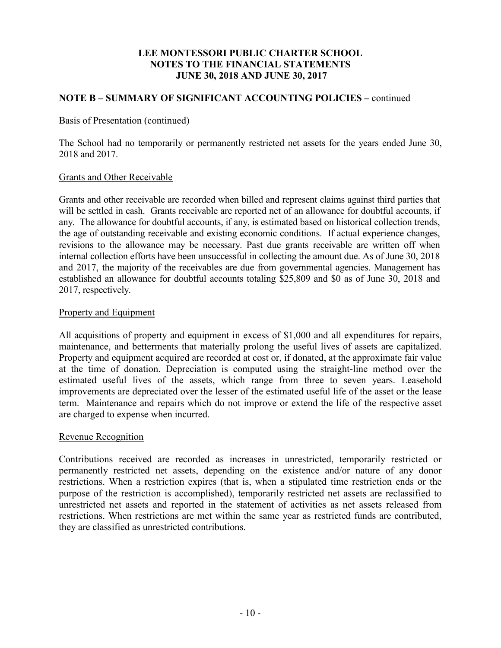# **NOTE B – SUMMARY OF SIGNIFICANT ACCOUNTING POLICIES –** continued

#### Basis of Presentation (continued)

The School had no temporarily or permanently restricted net assets for the years ended June 30, 2018 and 2017.

#### Grants and Other Receivable

Grants and other receivable are recorded when billed and represent claims against third parties that will be settled in cash. Grants receivable are reported net of an allowance for doubtful accounts, if any. The allowance for doubtful accounts, if any, is estimated based on historical collection trends, the age of outstanding receivable and existing economic conditions. If actual experience changes, revisions to the allowance may be necessary. Past due grants receivable are written off when internal collection efforts have been unsuccessful in collecting the amount due. As of June 30, 2018 and 2017, the majority of the receivables are due from governmental agencies. Management has established an allowance for doubtful accounts totaling \$25,809 and \$0 as of June 30, 2018 and 2017, respectively.

# Property and Equipment

All acquisitions of property and equipment in excess of \$1,000 and all expenditures for repairs, maintenance, and betterments that materially prolong the useful lives of assets are capitalized. Property and equipment acquired are recorded at cost or, if donated, at the approximate fair value at the time of donation. Depreciation is computed using the straight-line method over the estimated useful lives of the assets, which range from three to seven years. Leasehold improvements are depreciated over the lesser of the estimated useful life of the asset or the lease term. Maintenance and repairs which do not improve or extend the life of the respective asset are charged to expense when incurred.

#### Revenue Recognition

Contributions received are recorded as increases in unrestricted, temporarily restricted or permanently restricted net assets, depending on the existence and/or nature of any donor restrictions. When a restriction expires (that is, when a stipulated time restriction ends or the purpose of the restriction is accomplished), temporarily restricted net assets are reclassified to unrestricted net assets and reported in the statement of activities as net assets released from restrictions. When restrictions are met within the same year as restricted funds are contributed, they are classified as unrestricted contributions.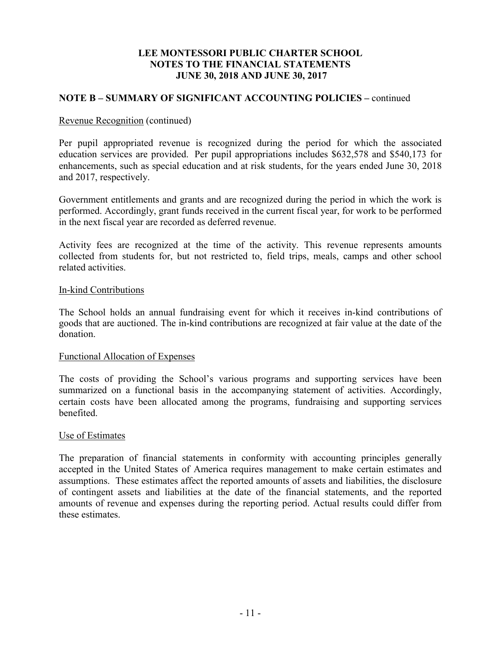### **NOTE B – SUMMARY OF SIGNIFICANT ACCOUNTING POLICIES –** continued

### Revenue Recognition (continued)

Per pupil appropriated revenue is recognized during the period for which the associated education services are provided. Per pupil appropriations includes \$632,578 and \$540,173 for enhancements, such as special education and at risk students, for the years ended June 30, 2018 and 2017, respectively.

Government entitlements and grants and are recognized during the period in which the work is performed. Accordingly, grant funds received in the current fiscal year, for work to be performed in the next fiscal year are recorded as deferred revenue.

Activity fees are recognized at the time of the activity. This revenue represents amounts collected from students for, but not restricted to, field trips, meals, camps and other school related activities.

#### In-kind Contributions

The School holds an annual fundraising event for which it receives in-kind contributions of goods that are auctioned. The in-kind contributions are recognized at fair value at the date of the donation.

#### Functional Allocation of Expenses

The costs of providing the School's various programs and supporting services have been summarized on a functional basis in the accompanying statement of activities. Accordingly, certain costs have been allocated among the programs, fundraising and supporting services benefited.

#### Use of Estimates

The preparation of financial statements in conformity with accounting principles generally accepted in the United States of America requires management to make certain estimates and assumptions. These estimates affect the reported amounts of assets and liabilities, the disclosure of contingent assets and liabilities at the date of the financial statements, and the reported amounts of revenue and expenses during the reporting period. Actual results could differ from these estimates.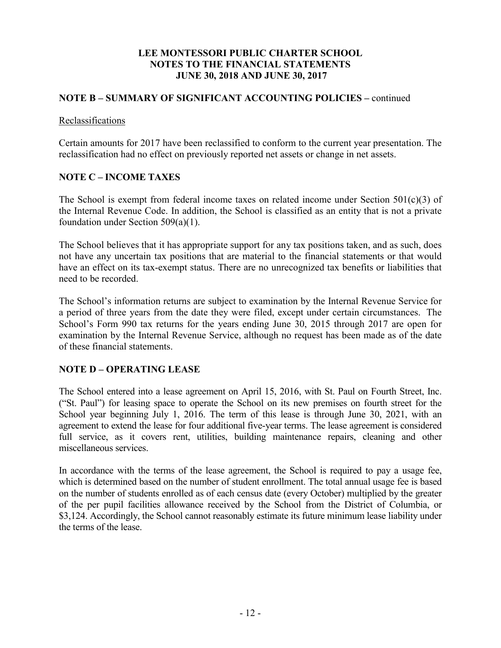# **NOTE B – SUMMARY OF SIGNIFICANT ACCOUNTING POLICIES –** continued

#### Reclassifications

Certain amounts for 2017 have been reclassified to conform to the current year presentation. The reclassification had no effect on previously reported net assets or change in net assets.

# **NOTE C – INCOME TAXES**

The School is exempt from federal income taxes on related income under Section  $501(c)(3)$  of the Internal Revenue Code. In addition, the School is classified as an entity that is not a private foundation under Section 509(a)(1).

The School believes that it has appropriate support for any tax positions taken, and as such, does not have any uncertain tax positions that are material to the financial statements or that would have an effect on its tax-exempt status. There are no unrecognized tax benefits or liabilities that need to be recorded.

The School's information returns are subject to examination by the Internal Revenue Service for a period of three years from the date they were filed, except under certain circumstances. The School's Form 990 tax returns for the years ending June 30, 2015 through 2017 are open for examination by the Internal Revenue Service, although no request has been made as of the date of these financial statements.

#### **NOTE D – OPERATING LEASE**

The School entered into a lease agreement on April 15, 2016, with St. Paul on Fourth Street, Inc. ("St. Paul") for leasing space to operate the School on its new premises on fourth street for the School year beginning July 1, 2016. The term of this lease is through June 30, 2021, with an agreement to extend the lease for four additional five-year terms. The lease agreement is considered full service, as it covers rent, utilities, building maintenance repairs, cleaning and other miscellaneous services.

In accordance with the terms of the lease agreement, the School is required to pay a usage fee, which is determined based on the number of student enrollment. The total annual usage fee is based on the number of students enrolled as of each census date (every October) multiplied by the greater of the per pupil facilities allowance received by the School from the District of Columbia, or \$3,124. Accordingly, the School cannot reasonably estimate its future minimum lease liability under the terms of the lease.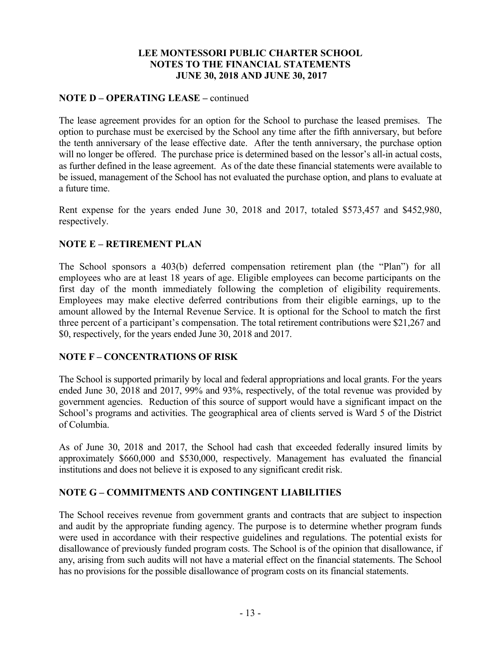# **NOTE D – OPERATING LEASE –** continued

The lease agreement provides for an option for the School to purchase the leased premises. The option to purchase must be exercised by the School any time after the fifth anniversary, but before the tenth anniversary of the lease effective date. After the tenth anniversary, the purchase option will no longer be offered. The purchase price is determined based on the lessor's all-in actual costs, as further defined in the lease agreement. As of the date these financial statements were available to be issued, management of the School has not evaluated the purchase option, and plans to evaluate at a future time.

Rent expense for the years ended June 30, 2018 and 2017, totaled \$573,457 and \$452,980, respectively.

# **NOTE E – RETIREMENT PLAN**

The School sponsors a 403(b) deferred compensation retirement plan (the "Plan") for all employees who are at least 18 years of age. Eligible employees can become participants on the first day of the month immediately following the completion of eligibility requirements. Employees may make elective deferred contributions from their eligible earnings, up to the amount allowed by the Internal Revenue Service. It is optional for the School to match the first three percent of a participant's compensation. The total retirement contributions were \$21,267 and \$0, respectively, for the years ended June 30, 2018 and 2017.

# **NOTE F – CONCENTRATIONS OF RISK**

The School is supported primarily by local and federal appropriations and local grants. For the years ended June 30, 2018 and 2017, 99% and 93%, respectively, of the total revenue was provided by government agencies. Reduction of this source of support would have a significant impact on the School's programs and activities. The geographical area of clients served is Ward 5 of the District of Columbia.

As of June 30, 2018 and 2017, the School had cash that exceeded federally insured limits by approximately \$660,000 and \$530,000, respectively. Management has evaluated the financial institutions and does not believe it is exposed to any significant credit risk.

# **NOTE G – COMMITMENTS AND CONTINGENT LIABILITIES**

The School receives revenue from government grants and contracts that are subject to inspection and audit by the appropriate funding agency. The purpose is to determine whether program funds were used in accordance with their respective guidelines and regulations. The potential exists for disallowance of previously funded program costs. The School is of the opinion that disallowance, if any, arising from such audits will not have a material effect on the financial statements. The School has no provisions for the possible disallowance of program costs on its financial statements.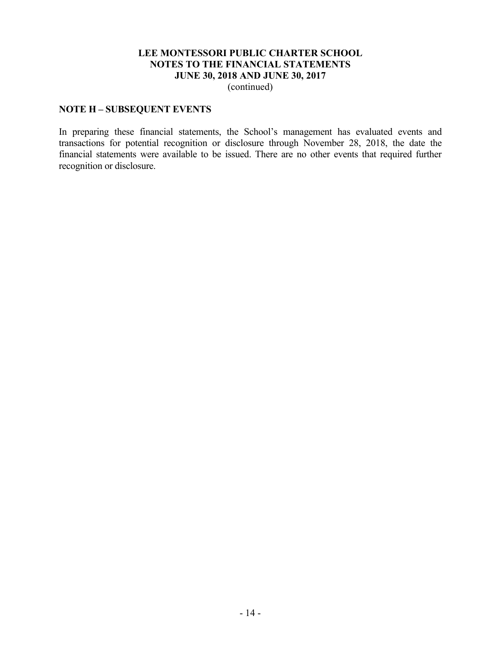(continued)

# **NOTE H – SUBSEQUENT EVENTS**

In preparing these financial statements, the School's management has evaluated events and transactions for potential recognition or disclosure through November 28, 2018, the date the financial statements were available to be issued. There are no other events that required further recognition or disclosure.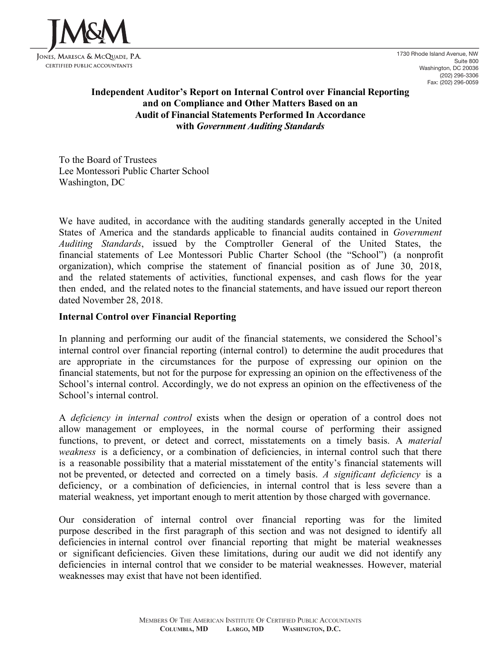

1730 Rhode Island Avenue, NW Suite 800 Washington, DC 20036 (202) 296-3306 Fax: (202) 296-0059

# **Independent Auditor's Report on Internal Control over Financial Reporting and on Compliance and Other Matters Based on an Audit of Financial Statements Performed In Accordance with** *Government Auditing Standards*

To the Board of Trustees Lee Montessori Public Charter School Washington, DC

We have audited, in accordance with the auditing standards generally accepted in the United States of America and the standards applicable to financial audits contained in *Government Auditing Standards*, issued by the Comptroller General of the United States, the financial statements of Lee Montessori Public Charter School (the "School") (a nonprofit organization), which comprise the statement of financial position as of June 30, 2018, and the related statements of activities, functional expenses, and cash flows for the year then ended, and the related notes to the financial statements, and have issued our report thereon dated November 28, 2018.

# **Internal Control over Financial Reporting**

In planning and performing our audit of the financial statements, we considered the School's internal control over financial reporting (internal control) to determine the audit procedures that are appropriate in the circumstances for the purpose of expressing our opinion on the financial statements, but not for the purpose for expressing an opinion on the effectiveness of the School's internal control. Accordingly, we do not express an opinion on the effectiveness of the School's internal control.

A *deficiency in internal control* exists when the design or operation of a control does not allow management or employees, in the normal course of performing their assigned functions, to prevent, or detect and correct, misstatements on a timely basis. A *material weakness* is a deficiency, or a combination of deficiencies, in internal control such that there is a reasonable possibility that a material misstatement of the entity's financial statements will not be prevented, or detected and corrected on a timely basis. *A significant deficiency* is a deficiency, or a combination of deficiencies, in internal control that is less severe than a material weakness, yet important enough to merit attention by those charged with governance.

Our consideration of internal control over financial reporting was for the limited purpose described in the first paragraph of this section and was not designed to identify all deficiencies in internal control over financial reporting that might be material weaknesses or significant deficiencies. Given these limitations, during our audit we did not identify any deficiencies in internal control that we consider to be material weaknesses. However, material weaknesses may exist that have not been identified.